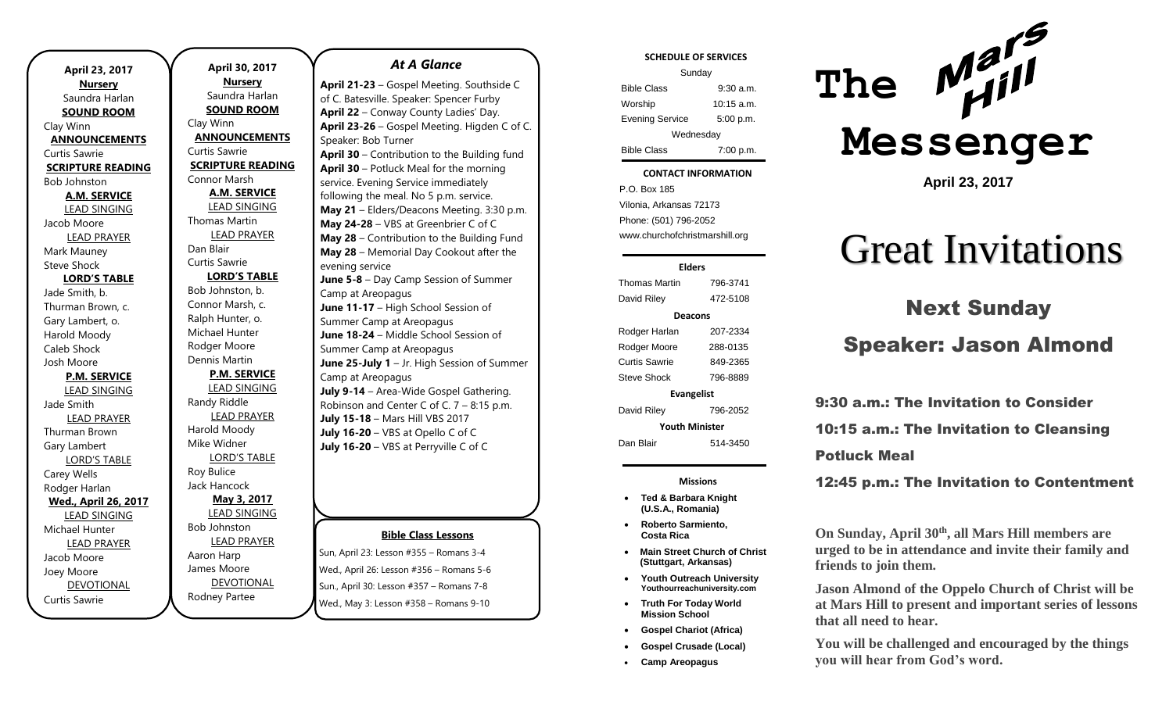| April 23, 2017              |
|-----------------------------|
| <b>Nursery</b>              |
| Saundra Harlan              |
| <b>SOUND ROOM</b>           |
| Clay Winn                   |
| <b>ANNOUNCEMENTS</b>        |
| Curtis Sawrie               |
| <b>SCRIPTURE READING</b>    |
| <b>Bob Johnston</b>         |
| <b>A.M. SERVICE</b>         |
| <b>LEAD SINGING</b>         |
| Jacob Moore                 |
| <b>LEAD PRAYER</b>          |
| Mark Mauney                 |
| Steve Shock                 |
| <b>LORD'S TABLE</b>         |
| Jade Smith, b.              |
| Thurman Brown, c.           |
| Gary Lambert, o.            |
| Harold Moody                |
| Caleb Shock                 |
| Josh Moore                  |
| <b>P.M. SERVICE</b>         |
| <b>LEAD SINGING</b>         |
| Jade Smith                  |
| <b>LEAD PRAYER</b>          |
| Thurman Brown               |
| Gary Lambert                |
| <b>LORD'S TABLE</b>         |
| Carey Wells                 |
| Rodger Harlan               |
| <b>Wed., April 26, 2017</b> |
| <b>LEAD SINGING</b>         |
| Michael Hunter              |
| <b>LEAD PRAYER</b>          |
| Jacob Moore                 |
| Joey Moore                  |
| <b>DEVOTIONAL</b>           |
| Curtis Sawrie               |

**April 30, 2017 Nursery** Saundra Harlan **SOUND ROOM** Clay Winn **ANNOUNCEMENTS** Curtis Sawrie **SCRIPTURE READING** Connor Marsh **A.M. SERVICE** LEAD SINGING Thomas Martin LEAD PRAYER Dan Blair Curtis Sawrie **LORD'S TABLE** Bob Johnston, b. Connor Marsh, c. Ralph Hunter, o. Michael Hunter Rodger Moore Dennis Martin **P.M. SERVICE** LEAD SINGING Randy Riddle LEAD PRAYER Harold Moody Mike Widner LORD'S TABLE Roy Bulice Jack Hancock **May 3, 2017** LEAD SINGING Bob Johnston LEAD PRAYER Aaron Harp James Moore DEVOTIONAL

Rodney Partee

#### *At A Glance*

**April 21-23** – Gospel Meeting. Southside C of C. Batesville. Speaker: Spencer Furby **April 22** – Conway County Ladies' Day. **April 23-26** – Gospel Meeting. Higden C of C. Speaker: Bob Turner **April 30** – Contribution to the Building fund **April 30** – Potluck Meal for the morning service. Evening Service immediately following the meal. No 5 p.m. service. **May 21** – Elders/Deacons Meeting. 3:30 p.m. **May 24-28** – VBS at Greenbrier C of C **May 28** – Contribution to the Building Fund **May 28** – Memorial Day Cookout after the evening service **June 5-8** – Day Camp Session of Summer Camp at Areopagus **June 11-17** – High School Session of Summer Camp at Areopagus **June 18-24** – Middle School Session of Summer Camp at Areopagus **June 25-July 1** – Jr. High Session of Summer Camp at Areopagus **July 9-14** – Area-Wide Gospel Gathering. Robinson and Center C of C. 7 – 8:15 p.m. **July 15-18** – Mars Hill VBS 2017 **July 16-20** – VBS at Opello C of C **July 16-20** – VBS at Perryville C of C

#### **Bible Class Lessons**

Sun, April 23: Lesson #355 – Romans 3-4 Wed., April 26: Lesson #356 – Romans 5-6 Sun., April 30: Lesson #357 – Romans 7-8 Wed., May 3: Lesson #358 – Romans 9-10

#### **SCHEDULE OF SERVICES**

| Sunday                 |             |  |
|------------------------|-------------|--|
| <b>Bible Class</b>     | $9:30$ a.m. |  |
| Worship                | 10:15 a.m.  |  |
| <b>Evening Service</b> | 5:00 p.m.   |  |
| Wednesday              |             |  |
| <b>Bible Class</b>     | 7:00 p.m.   |  |

#### tuesday<br>Tuesday **CONTACT INFORMATION**

. .o. Box 166<br>Vilonia, Arkansas 72173 P.O. Box 185 Phone: (501) 796-2052 www.churchofchristmarshill.org

#### **Elders**

Thomas Martin 796-3741 David Riley 472-5108 **Deacons** Rodger Harlan 207-2334 Rodger Moore 288-0135 Curtis Sawrie 849-2365 Steve Shock 796-8889 **Evangelist** David Riley 796-2052 **Youth Minister**

Dan Blair 514-3450

**Missions**

- **Ted & Barbara Knight (U.S.A., Romania)**
- **Roberto Sarmiento, Costa Rica**
- **Main Street Church of Christ (Stuttgart, Arkansas)**
- **Youth Outreach University Youthourreachuniversity.com**
- **Truth For Today World Mission School**
- **Gospel Chariot (Africa)**
- **Gospel Crusade (Local)**
- **Camp Areopagus**



**April 23, 2017**

# Great Invitations

# Next Sunday

## Speaker: Jason Almond

9:30 a.m.: The Invitation to Consider 10:15 a.m.: The Invitation to Cleansing Potluck Meal

12:45 p.m.: The Invitation to Contentment

**On Sunday, April 30th, all Mars Hill members are urged to be in attendance and invite their family and friends to join them.** 

**Jason Almond of the Oppelo Church of Christ will be at Mars Hill to present and important series of lessons that all need to hear.** 

**You will be challenged and encouraged by the things you will hear from God's word.**